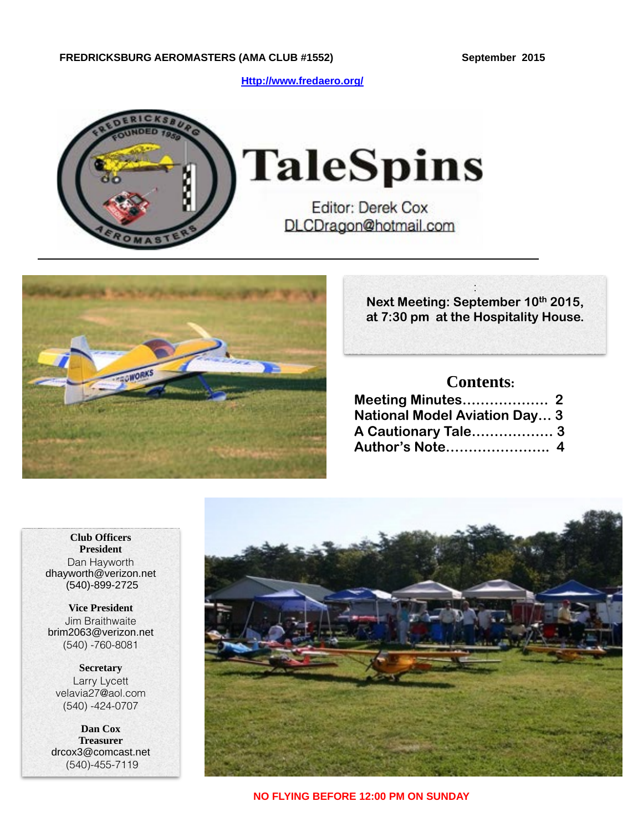**[Http://www.fredaero.org/](http://www.fredaero.org/)**



**TaleSpins** 

**Editor: Derek Cox** DLCDragon@hotmail.com



: **Next Meeting: September 10th 2015, at 7:30 pm at the Hospitality House.** 

## **Contents:**

| <b>National Model Aviation Day 3</b> |  |
|--------------------------------------|--|
| A Cautionary Tale 3                  |  |
| Author's Note 4                      |  |

**Club Officers President** Dan Hayworth dhayworth@verizon.net (540)-899-2725

**Vice President** Jim Braithwaite brim2063@verizon.net (540) -760-8081

**Secretary** Larry Lycett velavia27@aol.com (540) -424-0707

**Dan Cox Treasurer** drcox3@comcast.net (540)-455-7119

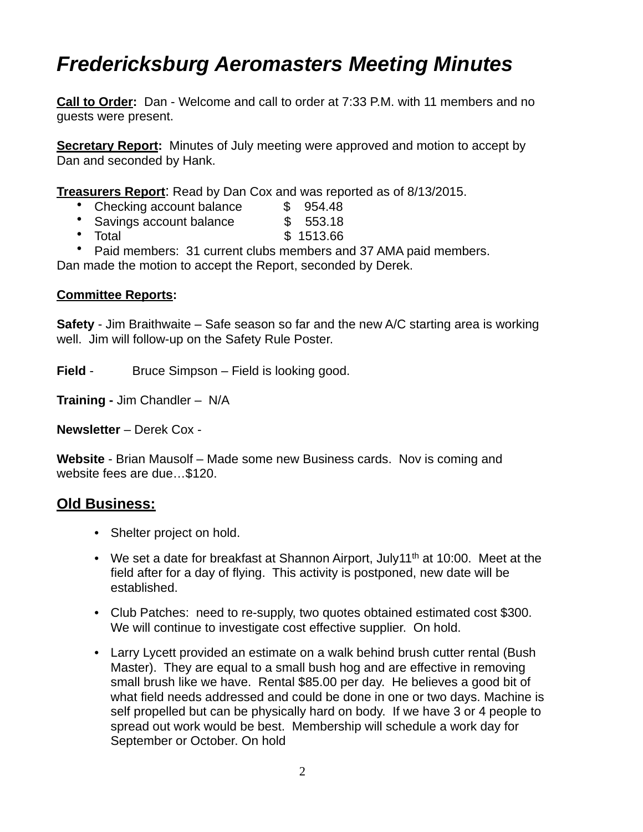## *Fredericksburg Aeromasters Meeting Minutes*

**Call to Order:** Dan - Welcome and call to order at 7:33 P.M. with 11 members and no guests were present.

**Secretary Report:** Minutes of July meeting were approved and motion to accept by Dan and seconded by Hank.

**Treasurers Report**: Read by Dan Cox and was reported as of 8/13/2015.

- Checking account balance  $$954.48$
- Savings account balance \$ 553.18
- Total \$ 1513.66
- Paid members: 31 current clubs members and 37 AMA paid members.

Dan made the motion to accept the Report, seconded by Derek.

#### **Committee Reports:**

**Safety** - Jim Braithwaite – Safe season so far and the new A/C starting area is working well. Jim will follow-up on the Safety Rule Poster.

**Field** - Bruce Simpson – Field is looking good.

**Training -** Jim Chandler – N/A

**Newsletter** – Derek Cox -

**Website** - Brian Mausolf – Made some new Business cards. Nov is coming and website fees are due…\$120.

### **Old Business:**

- Shelter project on hold.
- We set a date for breakfast at Shannon Airport, July11<sup>th</sup> at 10:00. Meet at the field after for a day of flying. This activity is postponed, new date will be established.
- Club Patches: need to re-supply, two quotes obtained estimated cost \$300. We will continue to investigate cost effective supplier. On hold.
- Larry Lycett provided an estimate on a walk behind brush cutter rental (Bush Master). They are equal to a small bush hog and are effective in removing small brush like we have. Rental \$85.00 per day. He believes a good bit of what field needs addressed and could be done in one or two days. Machine is self propelled but can be physically hard on body. If we have 3 or 4 people to spread out work would be best. Membership will schedule a work day for September or October. On hold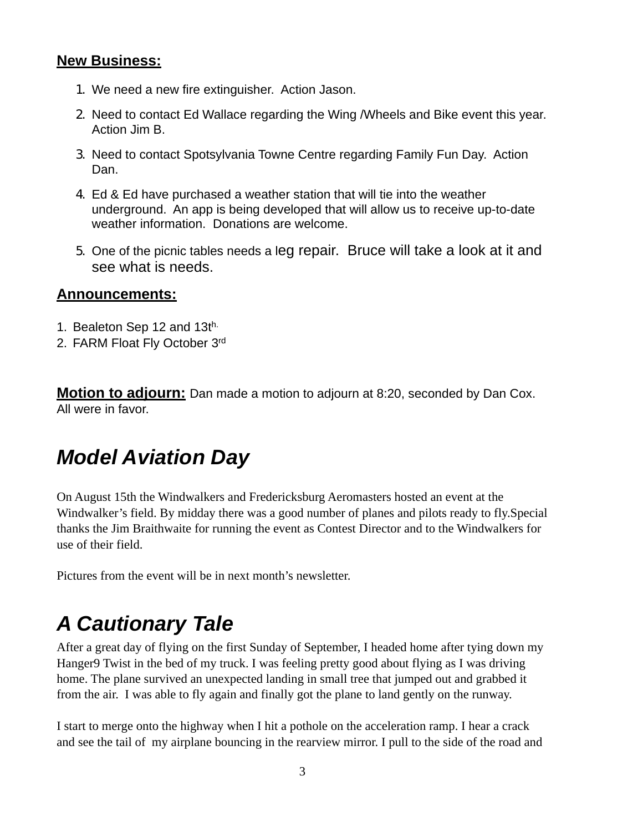### **New Business:**

- 1. We need a new fire extinguisher. Action Jason.
- 2. Need to contact Ed Wallace regarding the Wing /Wheels and Bike event this year. Action Jim B.
- 3. Need to contact Spotsylvania Towne Centre regarding Family Fun Day. Action Dan.
- 4. Ed & Ed have purchased a weather station that will tie into the weather underground. An app is being developed that will allow us to receive up-to-date weather information. Donations are welcome.
- 5. One of the picnic tables needs a leg repair. Bruce will take a look at it and see what is needs.

#### **Announcements:**

- 1. Bealeton Sep 12 and 13th.
- 2. FARM Float Fly October 3rd

**Motion to adjourn:** Dan made a motion to adjourn at 8:20, seconded by Dan Cox. All were in favor.

# *Model Aviation Day*

On August 15th the Windwalkers and Fredericksburg Aeromasters hosted an event at the Windwalker's field. By midday there was a good number of planes and pilots ready to fly.Special thanks the Jim Braithwaite for running the event as Contest Director and to the Windwalkers for use of their field.

Pictures from the event will be in next month's newsletter.

# *A Cautionary Tale*

After a great day of flying on the first Sunday of September, I headed home after tying down my Hanger9 Twist in the bed of my truck. I was feeling pretty good about flying as I was driving home. The plane survived an unexpected landing in small tree that jumped out and grabbed it from the air. I was able to fly again and finally got the plane to land gently on the runway.

I start to merge onto the highway when I hit a pothole on the acceleration ramp. I hear a crack and see the tail of my airplane bouncing in the rearview mirror. I pull to the side of the road and